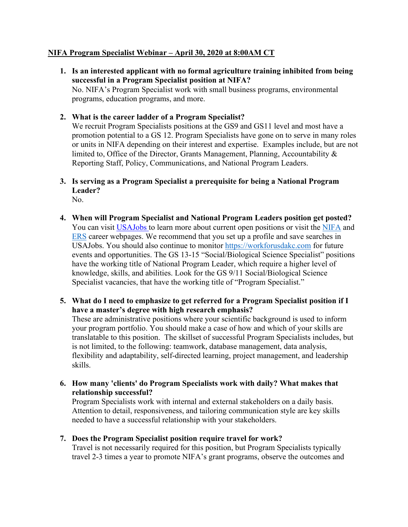## **NIFA Program Specialist Webinar – April 30, 2020 at 8:00AM CT**

- **successful in a Program Specialist position at NIFA? 1. Is an interested applicant with no formal agriculture training inhibited from being**  No. NIFA's Program Specialist work with small business programs, environmental programs, education programs, and more.
- **2. What is the career ladder of a Program Specialist?**

 We recruit Program Specialists positions at the GS9 and GS11 level and most have a promotion potential to a GS 12. Program Specialists have gone on to serve in many roles or units in NIFA depending on their interest and expertise. Examples include, but are not limited to, Office of the Director, Grants Management, Planning, Accountability & Reporting Staff, Policy, Communications, and National Program Leaders.

**3. Is serving as a Program Specialist a prerequisite for being a National Program Leader?** 

No.

- **4. When will Program Specialist and National Program Leaders position get posted?**  You can visit *USAJobs* to learn more about current open positions or visit the **NIFA** and [ERS](https://gcc02.safelinks.protection.outlook.com/?url=https%3A%2F%2Fwww.ers.usda.gov%2Fabout-ers%2Fcareers-at-ers%2F&data=02%7C01%7C%7C34501e43fa37493c56dd08d7f10b548b%7Ced5b36e701ee4ebc867ee03cfa0d4697%7C0%7C0%7C637242903282316118&sdata=Dl%2BDpy%2FYjo1u2nuRMOWJ3AC%2BlXIA4CpZhSsD9043ZHg%3D&reserved=0) career webpages. We recommend that you set up a profile and save searches in USAJobs. You should also continue to monitor [https://workforusdakc.com](https://gcc02.safelinks.protection.outlook.com/?url=https%3A%2F%2Fworkforusdakc.com%2F&data=02%7C01%7C%7C34501e43fa37493c56dd08d7f10b548b%7Ced5b36e701ee4ebc867ee03cfa0d4697%7C0%7C0%7C637242903282316118&sdata=pRb%2BG6zKAW1P2qvH4%2FOgQR%2BVLPiJ9GZEpiIyXILK8V0%3D&reserved=0) for future events and opportunities. The GS 13-15 "Social/Biological Science Specialist" positions have the working title of National Program Leader, which require a higher level of knowledge, skills, and abilities. Look for the GS 9/11 Social/Biological Science Specialist vacancies, that have the working title of "Program Specialist."
- **5. What do I need to emphasize to get referred for a Program Specialist position if I have a master's degree with high research emphasis?**

 skills. These are administrative positions where your scientific background is used to inform your program portfolio. You should make a case of how and which of your skills are translatable to this position. The skillset of successful Program Specialists includes, but is not limited, to the following: teamwork, database management, data analysis, flexibility and adaptability, self-directed learning, project management, and leadership

 **6. How many 'clients' do Program Specialists work with daily? What makes that relationship successful?** 

Program Specialists work with internal and external stakeholders on a daily basis. Attention to detail, responsiveness, and tailoring communication style are key skills needed to have a successful relationship with your stakeholders.

**7. Does the Program Specialist position require travel for work?** 

Travel is not necessarily required for this position, but Program Specialists typically travel 2-3 times a year to promote NIFA's grant programs, observe the outcomes and